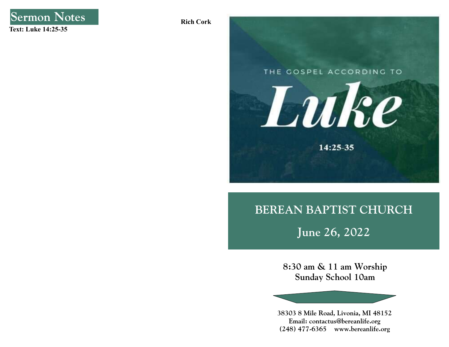

Rich Cork



# BEREAN BAPTIST CHURCH

June 26, 2022

8:30 am & 11 am Worship Sunday School 10am

38303 8 Mile Road, Livonia, MI 48152 Email: contactus@bereanlife.org (248) 477-6365 www.bereanlife.org